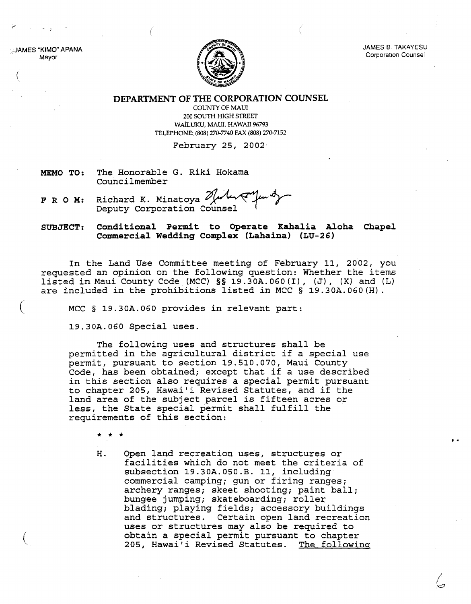AMES "KIMO" APANA Mayor

(

(



**JAMES B. TAKAYESU** Corporation Counsel

> I k

**DEPARTMENT OF THE CORPORATION COUNSEL**

COUNTY OF MAUl 200 SOUTH HIGH STREET WAiLUKU, MAUl, HAWAII 96793 TELEPHONE:. (808) 270-7740 FAX (808) 270-7152

February 25, 2002·

- **MEMO TO:** The Honorable G. Riki Hokama Councilmember
- **F R O M:** Richard K. Minatoya المسلم

**SUBJECT: Conditional Permit to Operate Kahalia Aloha Chapel Commercial Wedding Complex (Lahaina) (LU-26)**

In the Land Use Committee meeting of February 11, 2002, you requested an opinion on the following question: Whether the items listed in Maui County Code (MCC) §§ 19.30A.060(I), (J), (K) and (L) are included in the prohibitions listed in MCC § 19.30A.060(H).

MCC § 19.30A.060 provides in relevant part:

19.30A.060 Special uses.

The following uses and structures shall be permitted in the agricultural district if <sup>a</sup> special use permit, pursuant to section 19.510.070, Maui County Code, has been obtained; except that if <sup>a</sup> use described in this section also requires <sup>a</sup> special permit pursuant to chapter 205, Hawai'i Revised Statutes, and if the land area of the subject parcel is fifteen acres or less, the State special permit shall fulfill the requirements of this section:

\* \* \*

H. Open land recreation uses, structures or facilities which do not meet the criteria of subsection 19.30A.050.B. 11, including commercial camping; gun or firing ranges; archery ranges; skeet shooting; paint ball; bungee jumping; skateboarding; roller blading; playing fields; accessory buildings and structures. Certain open land recreation uses or structures may also be required to obtain a special permit pursuant to chapter 205, Hawai'i Revised Statutes. The following